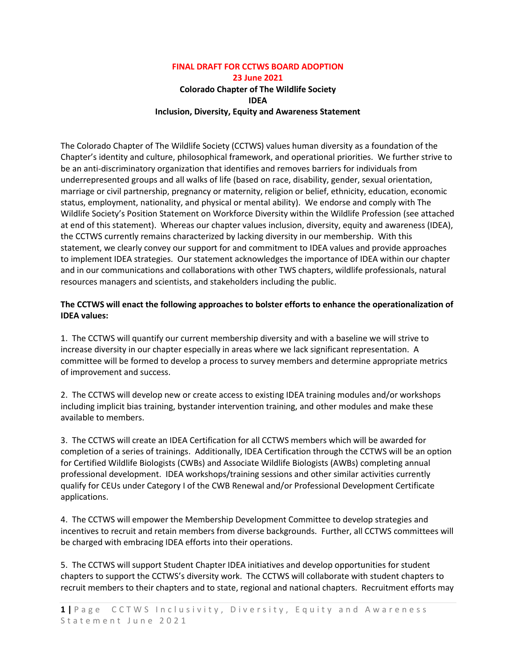# **FINAL DRAFT FOR CCTWS BOARD ADOPTION 23 June 2021 Colorado Chapter of The Wildlife Society IDEA Inclusion, Diversity, Equity and Awareness Statement**

The Colorado Chapter of The Wildlife Society (CCTWS) values human diversity as a foundation of the Chapter's identity and culture, philosophical framework, and operational priorities. We further strive to be an anti-discriminatory organization that identifies and removes barriers for individuals from underrepresented groups and all walks of life (based on race, disability, gender, sexual orientation, marriage or civil partnership, pregnancy or maternity, religion or belief, ethnicity, education, economic status, employment, nationality, and physical or mental ability). We endorse and comply with The Wildlife Society's Position Statement on Workforce Diversity within the Wildlife Profession (see attached at end of this statement). Whereas our chapter values inclusion, diversity, equity and awareness (IDEA), the CCTWS currently remains characterized by lacking diversity in our membership. With this statement, we clearly convey our support for and commitment to IDEA values and provide approaches to implement IDEA strategies. Our statement acknowledges the importance of IDEA within our chapter and in our communications and collaborations with other TWS chapters, wildlife professionals, natural resources managers and scientists, and stakeholders including the public.

## **The CCTWS will enact the following approaches to bolster efforts to enhance the operationalization of IDEA values:**

1. The CCTWS will quantify our current membership diversity and with a baseline we will strive to increase diversity in our chapter especially in areas where we lack significant representation. A committee will be formed to develop a process to survey members and determine appropriate metrics of improvement and success.

2. The CCTWS will develop new or create access to existing IDEA training modules and/or workshops including implicit bias training, bystander intervention training, and other modules and make these available to members.

3. The CCTWS will create an IDEA Certification for all CCTWS members which will be awarded for completion of a series of trainings. Additionally, IDEA Certification through the CCTWS will be an option for Certified Wildlife Biologists (CWBs) and Associate Wildlife Biologists (AWBs) completing annual professional development. IDEA workshops/training sessions and other similar activities currently qualify for CEUs under Category I of the CWB Renewal and/or Professional Development Certificate applications.

4. The CCTWS will empower the Membership Development Committee to develop strategies and incentives to recruit and retain members from diverse backgrounds. Further, all CCTWS committees will be charged with embracing IDEA efforts into their operations.

5. The CCTWS will support Student Chapter IDEA initiatives and develop opportunities for student chapters to support the CCTWS's diversity work. The CCTWS will collaborate with student chapters to recruit members to their chapters and to state, regional and national chapters. Recruitment efforts may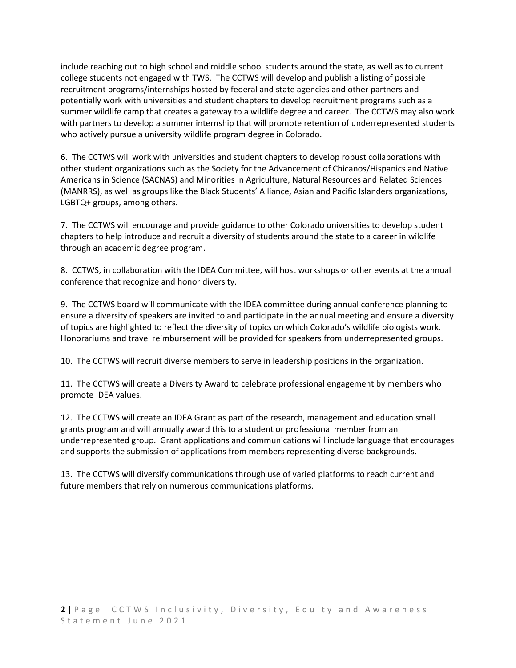include reaching out to high school and middle school students around the state, as well as to current college students not engaged with TWS. The CCTWS will develop and publish a listing of possible recruitment programs/internships hosted by federal and state agencies and other partners and potentially work with universities and student chapters to develop recruitment programs such as a summer wildlife camp that creates a gateway to a wildlife degree and career. The CCTWS may also work with partners to develop a summer internship that will promote retention of underrepresented students who actively pursue a university wildlife program degree in Colorado.

6. The CCTWS will work with universities and student chapters to develop robust collaborations with other student organizations such as the Society for the Advancement of Chicanos/Hispanics and Native Americans in Science (SACNAS) and Minorities in Agriculture, Natural Resources and Related Sciences (MANRRS), as well as groups like the Black Students' Alliance, Asian and Pacific Islanders organizations, LGBTQ+ groups, among others.

7. The CCTWS will encourage and provide guidance to other Colorado universities to develop student chapters to help introduce and recruit a diversity of students around the state to a career in wildlife through an academic degree program.

8. CCTWS, in collaboration with the IDEA Committee, will host workshops or other events at the annual conference that recognize and honor diversity.

9. The CCTWS board will communicate with the IDEA committee during annual conference planning to ensure a diversity of speakers are invited to and participate in the annual meeting and ensure a diversity of topics are highlighted to reflect the diversity of topics on which Colorado's wildlife biologists work. Honorariums and travel reimbursement will be provided for speakers from underrepresented groups.

10. The CCTWS will recruit diverse members to serve in leadership positions in the organization.

11. The CCTWS will create a Diversity Award to celebrate professional engagement by members who promote IDEA values.

12. The CCTWS will create an IDEA Grant as part of the research, management and education small grants program and will annually award this to a student or professional member from an underrepresented group. Grant applications and communications will include language that encourages and supports the submission of applications from members representing diverse backgrounds.

13. The CCTWS will diversify communications through use of varied platforms to reach current and future members that rely on numerous communications platforms.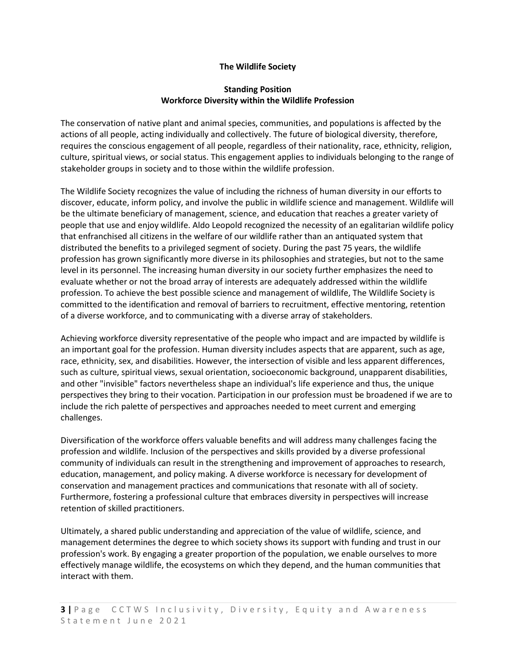### **The Wildlife Society**

### **Standing Position Workforce Diversity within the Wildlife Profession**

The conservation of native plant and animal species, communities, and populations is affected by the actions of all people, acting individually and collectively. The future of biological diversity, therefore, requires the conscious engagement of all people, regardless of their nationality, race, ethnicity, religion, culture, spiritual views, or social status. This engagement applies to individuals belonging to the range of stakeholder groups in society and to those within the wildlife profession.

The Wildlife Society recognizes the value of including the richness of human diversity in our efforts to discover, educate, inform policy, and involve the public in wildlife science and management. Wildlife will be the ultimate beneficiary of management, science, and education that reaches a greater variety of people that use and enjoy wildlife. Aldo Leopold recognized the necessity of an egalitarian wildlife policy that enfranchised all citizens in the welfare of our wildlife rather than an antiquated system that distributed the benefits to a privileged segment of society. During the past 75 years, the wildlife profession has grown significantly more diverse in its philosophies and strategies, but not to the same level in its personnel. The increasing human diversity in our society further emphasizes the need to evaluate whether or not the broad array of interests are adequately addressed within the wildlife profession. To achieve the best possible science and management of wildlife, The Wildlife Society is committed to the identification and removal of barriers to recruitment, effective mentoring, retention of a diverse workforce, and to communicating with a diverse array of stakeholders.

Achieving workforce diversity representative of the people who impact and are impacted by wildlife is an important goal for the profession. Human diversity includes aspects that are apparent, such as age, race, ethnicity, sex, and disabilities. However, the intersection of visible and less apparent differences, such as culture, spiritual views, sexual orientation, socioeconomic background, unapparent disabilities, and other "invisible" factors nevertheless shape an individual's life experience and thus, the unique perspectives they bring to their vocation. Participation in our profession must be broadened if we are to include the rich palette of perspectives and approaches needed to meet current and emerging challenges.

Diversification of the workforce offers valuable benefits and will address many challenges facing the profession and wildlife. Inclusion of the perspectives and skills provided by a diverse professional community of individuals can result in the strengthening and improvement of approaches to research, education, management, and policy making. A diverse workforce is necessary for development of conservation and management practices and communications that resonate with all of society. Furthermore, fostering a professional culture that embraces diversity in perspectives will increase retention of skilled practitioners.

Ultimately, a shared public understanding and appreciation of the value of wildlife, science, and management determines the degree to which society shows its support with funding and trust in our profession's work. By engaging a greater proportion of the population, we enable ourselves to more effectively manage wildlife, the ecosystems on which they depend, and the human communities that interact with them.